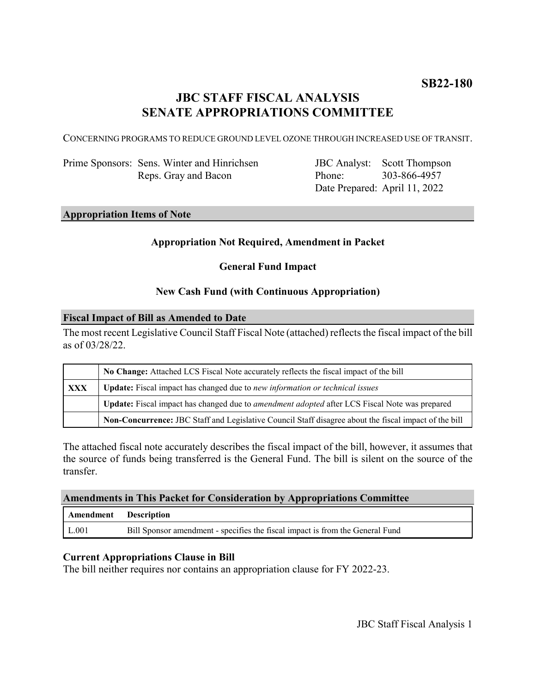# **JBC STAFF FISCAL ANALYSIS SENATE APPROPRIATIONS COMMITTEE**

CONCERNING PROGRAMS TO REDUCE GROUND LEVEL OZONE THROUGH INCREASED USE OF TRANSIT.

Prime Sponsors: Sens. Winter and Hinrichsen Reps. Gray and Bacon

JBC Analyst: Scott Thompson Phone: Date Prepared: April 11, 2022 303-866-4957

#### **Appropriation Items of Note**

#### **Appropriation Not Required, Amendment in Packet**

**General Fund Impact**

#### **New Cash Fund (with Continuous Appropriation)**

#### **Fiscal Impact of Bill as Amended to Date**

The most recent Legislative Council Staff Fiscal Note (attached) reflects the fiscal impact of the bill as of 03/28/22.

|            | No Change: Attached LCS Fiscal Note accurately reflects the fiscal impact of the bill                       |
|------------|-------------------------------------------------------------------------------------------------------------|
| <b>XXX</b> | <b>Update:</b> Fiscal impact has changed due to new information or technical issues                         |
|            | <b>Update:</b> Fiscal impact has changed due to <i>amendment adopted</i> after LCS Fiscal Note was prepared |
|            | Non-Concurrence: JBC Staff and Legislative Council Staff disagree about the fiscal impact of the bill       |

The attached fiscal note accurately describes the fiscal impact of the bill, however, it assumes that the source of funds being transferred is the General Fund. The bill is silent on the source of the transfer.

#### **Amendments in This Packet for Consideration by Appropriations Committee**

| Amendment Description |                                                                               |
|-----------------------|-------------------------------------------------------------------------------|
| L.001                 | Bill Sponsor amendment - specifies the fiscal impact is from the General Fund |

#### **Current Appropriations Clause in Bill**

The bill neither requires nor contains an appropriation clause for FY 2022-23.